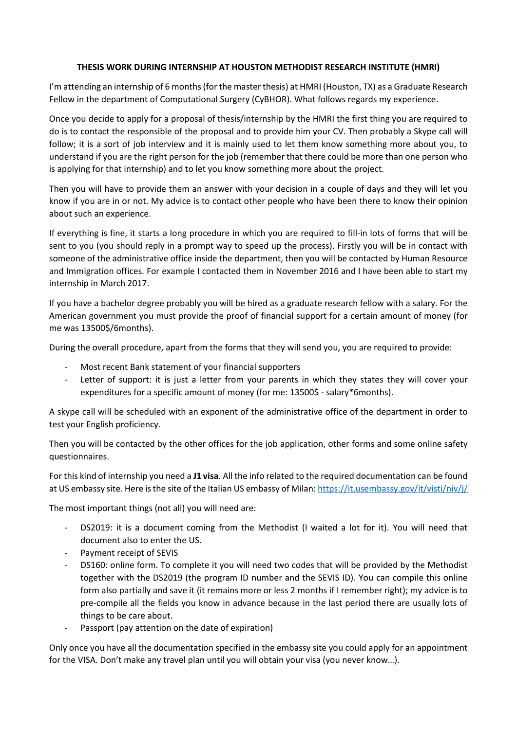## **THESIS WORK DURING INTERNSHIP AT HOUSTON METHODIST RESEARCH INSTITUTE (HMRI)**

I'm attending an internship of 6 months (for the master thesis) at HMRI (Houston, TX) as a Graduate Research Fellow in the department of Computational Surgery (CyBHOR). What follows regards my experience.

Once you decide to apply for a proposal of thesis/internship by the HMRI the first thing you are required to do is to contact the responsible of the proposal and to provide him your CV. Then probably a Skype call will follow; it is a sort of job interview and it is mainly used to let them know something more about you, to understand if you are the right person for the job (remember that there could be more than one person who is applying for that internship) and to let you know something more about the project.

Then you will have to provide them an answer with your decision in a couple of days and they will let you know if you are in or not. My advice is to contact other people who have been there to know their opinion about such an experience.

If everything is fine, it starts a long procedure in which you are required to fill-in lots of forms that will be sent to you (you should reply in a prompt way to speed up the process). Firstly you will be in contact with someone of the administrative office inside the department, then you will be contacted by Human Resource and Immigration offices. For example I contacted them in November 2016 and I have been able to start my internship in March 2017.

If you have a bachelor degree probably you will be hired as a graduate research fellow with a salary. For the American government you must provide the proof of financial support for a certain amount of money (for me was 13500\$/6months).

During the overall procedure, apart from the forms that they will send you, you are required to provide:

- Most recent Bank statement of your financial supporters
- Letter of support: it is just a letter from your parents in which they states they will cover your expenditures for a specific amount of money (for me: 13500\$ - salary\*6months).

A skype call will be scheduled with an exponent of the administrative office of the department in order to test your English proficiency.

Then you will be contacted by the other offices for the job application, other forms and some online safety questionnaires.

For this kind of internship you need a **J1 visa**. All the info related to the required documentation can be found at US embassy site. Here is the site of the Italian US embassy of Milan: https://it.usembassy.gov/it/visti/niv/j/

The most important things (not all) you will need are:

- DS2019: it is a document coming from the Methodist (I waited a lot for it). You will need that document also to enter the US.
- Payment receipt of SEVIS
- DS160: online form. To complete it you will need two codes that will be provided by the Methodist together with the DS2019 (the program ID number and the SEVIS ID). You can compile this online form also partially and save it (it remains more or less 2 months if I remember right); my advice is to pre-compile all the fields you know in advance because in the last period there are usually lots of things to be care about.
- Passport (pay attention on the date of expiration)

Only once you have all the documentation specified in the embassy site you could apply for an appointment for the VISA. Don't make any travel plan until you will obtain your visa (you never know…).